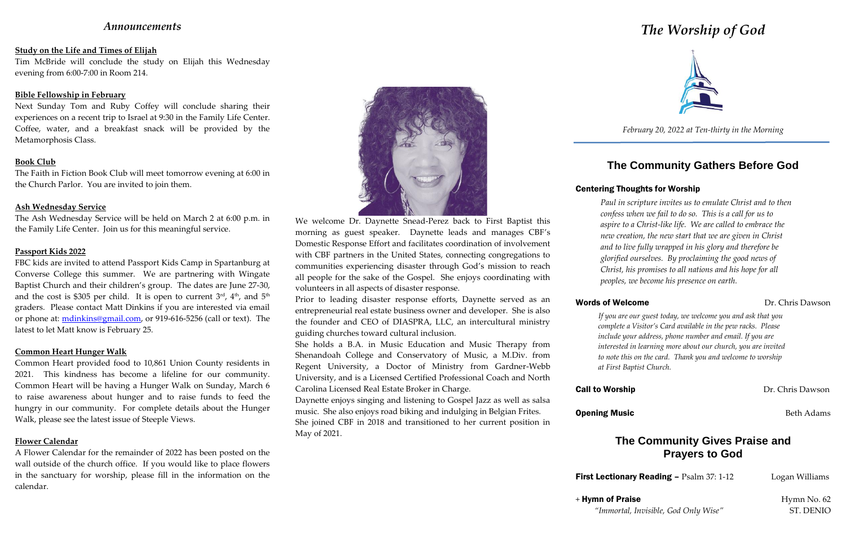# *Announcements*

### **Study on the Life and Times of Elijah**

Tim McBride will conclude the study on Elijah this Wednesday evening from 6:00-7:00 in Room 214.

### **Bible Fellowship in February**

Next Sunday Tom and Ruby Coffey will conclude sharing their experiences on a recent trip to Israel at 9:30 in the Family Life Center. Coffee, water, and a breakfast snack will be provided by the Metamorphosis Class.

### **Book Club**

The Faith in Fiction Book Club will meet tomorrow evening at 6:00 in the Church Parlor. You are invited to join them.

### **Ash Wednesday Service**

The Ash Wednesday Service will be held on March 2 at 6:00 p.m. in the Family Life Center. Join us for this meaningful service.

### **Passport Kids 2022**

FBC kids are invited to attend Passport Kids Camp in Spartanburg at Converse College this summer. We are partnering with Wingate Baptist Church and their children's group. The dates are June 27-30, and the cost is \$305 per child. It is open to current 3<sup>rd</sup>, 4<sup>th</sup>, and 5<sup>th</sup> graders. Please contact Matt Dinkins if you are interested via email or phone at: mdinkins@gmail.com, or 919-616-5256 (call or text). The latest to let Matt know is February 25.

### **Common Heart Hunger Walk**

Common Heart provided food to 10,861 Union County residents in 2021. This kindness has become a lifeline for our community. Common Heart will be having a Hunger Walk on Sunday, March 6 to raise awareness about hunger and to raise funds to feed the hungry in our community. For complete details about the Hunger Walk, please see the latest issue of Steeple Views.

## **Flower Calendar**

A Flower Calendar for the remainder of 2022 has been posted on the wall outside of the church office. If you would like to place flowers in the sanctuary for worship, please fill in the information on the calendar.



We welcome Dr. Daynette Snead-Perez back to First Baptist this morning as guest speaker. Daynette leads and manages CBF's Domestic Response Effort and facilitates coordination of involvement with CBF partners in the United States, connecting congregations to communities experiencing disaster through God's mission to reach all people for the sake of the Gospel. She enjoys coordinating with volunteers in all aspects of disaster response.

Prior to leading disaster response efforts, Daynette served as an entrepreneurial real estate business owner and developer. She is also the founder and CEO of DIASPRA, LLC, an intercultural ministry guiding churches toward cultural inclusion.

She holds a B.A. in Music Education and Music Therapy from Shenandoah College and Conservatory of Music, a M.Div. from Regent University, a Doctor of Ministry from Gardner-Webb University, and is a Licensed Certified Professional Coach and North Carolina Licensed Real Estate Broker in Charge.

Daynette enjoys singing and listening to Gospel Jazz as well as salsa music. She also enjoys road biking and indulging in Belgian Frites. She joined CBF in 2018 and transitioned to her current position in May of 2021.

# Words of Welcome **Dr.** Chris Dawson

+ Hymn of Praise Hymn No. 62 *"Immortal, Invisible, God Only Wise"* ST. DENIO

# *The Worship of God*



*February 20, 2022 at Ten-thirty in the Morning*

# **The Community Gathers Before God**

# Centering Thoughts for Worship

*Paul in scripture invites us to emulate Christ and to then confess when we fail to do so. This is a call for us to aspire to a Christ-like life. We are called to embrace the new creation, the new start that we are given in Christ and to live fully wrapped in his glory and therefore be glorified ourselves. By proclaiming the good news of Christ, his promises to all nations and his hope for all peoples, we become his presence on earth.*

## *If you are our guest today, we welcome you and ask that you complete a Visitor's Card available in the pew racks. Please include your address, phone number and email. If you are interested in learning more about our church, you are invited to note this on the card. Thank you and welcome to worship at First Baptist Church.*

**Call to Worship Dr. Chris Dawson** 

**Opening Music Beth Adams Beth Adams** 

# **The Community Gives Praise and Prayers to God**

**First Lectionary Reading – Psalm 37: 1-12 Logan Williams**